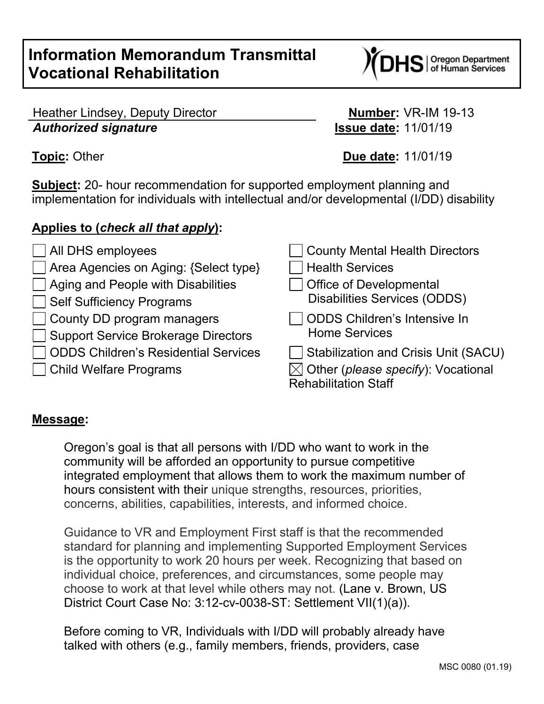# **Information Memorandum Transmittal Vocational Rehabilitation**

S | Oregon Department<br>S | of Human Services

# Heather Lindsey, Deputy Director **Number:** VR-IM 19-13 *Authorized signature* **Issue date:** 11/01/19

**Topic:** Other **Due date:** 11/01/19

**Subject:** 20- hour recommendation for supported employment planning and implementation for individuals with intellectual and/or developmental (I/DD) disability

# **Applies to (***check all that apply***):**

| $\Box$ All DHS employees                    | County Mental Health Directors                          |
|---------------------------------------------|---------------------------------------------------------|
| Area Agencies on Aging: {Select type}       | <b>Health Services</b>                                  |
| $\Box$ Aging and People with Disabilities   | <b>Office of Developmental</b>                          |
| Self Sufficiency Programs                   | <b>Disabilities Services (ODDS)</b>                     |
| $\vert \ \ \vert$                           | ODDS Children's Intensive In                            |
| $\Box$ County DD program managers           | <b>Home Services</b>                                    |
| Support Service Brokerage Directors         | Stabilization and Crisis Unit (SACU)                    |
| <b>ODDS Children's Residential Services</b> | $\boxtimes$ Other ( <i>please specify</i> ): Vocational |
| Child Welfare Programs                      | <b>Rehabilitation Staff</b>                             |

## **Message:**

Oregon's goal is that all persons with I/DD who want to work in the community will be afforded an opportunity to pursue competitive integrated employment that allows them to work the maximum number of hours consistent with their unique strengths, resources, priorities, concerns, abilities, capabilities, interests, and informed choice.

Guidance to VR and Employment First staff is that the recommended standard for planning and implementing Supported Employment Services is the opportunity to work 20 hours per week. Recognizing that based on individual choice, preferences, and circumstances, some people may choose to work at that level while others may not. (Lane v. Brown, US District Court Case No: 3:12-cv-0038-ST: Settlement VII(1)(a)).

Before coming to VR, Individuals with I/DD will probably already have talked with others (e.g., family members, friends, providers, case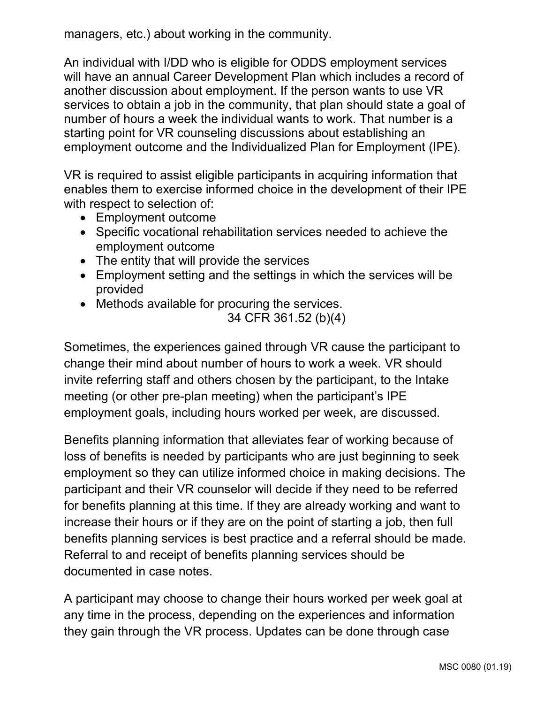managers, etc.) about working in the community.

An individual with I/DD who is eligible for ODDS employment services will have an annual Career Development Plan which includes a record of another discussion about employment. If the person wants to use VR services to obtain a job in the community, that plan should state a goal of number of hours a week the individual wants to work. That number is a starting point for VR counseling discussions about establishing an employment outcome and the Individualized Plan for Employment (IPE).

VR is required to assist eligible participants in acquiring information that enables them to exercise informed choice in the development of their IPE with respect to selection of:

- Employment outcome
- Specific vocational rehabilitation services needed to achieve the employment outcome
- The entity that will provide the services
- Employment setting and the settings in which the services will be provided
- Methods available for procuring the services.

34 CFR 361.52 (b)(4)

Sometimes, the experiences gained through VR cause the participant to change their mind about number of hours to work a week. VR should invite referring staff and others chosen by the participant, to the Intake meeting (or other pre-plan meeting) when the participant's IPE employment goals, including hours worked per week, are discussed.

Benefits planning information that alleviates fear of working because of loss of benefits is needed by participants who are just beginning to seek employment so they can utilize informed choice in making decisions. The participant and their VR counselor will decide if they need to be referred for benefits planning at this time. If they are already working and want to increase their hours or if they are on the point of starting a job, then full benefits planning services is best practice and a referral should be made. Referral to and receipt of benefits planning services should be documented in case notes.

A participant may choose to change their hours worked per week goal at any time in the process, depending on the experiences and information they gain through the VR process. Updates can be done through case